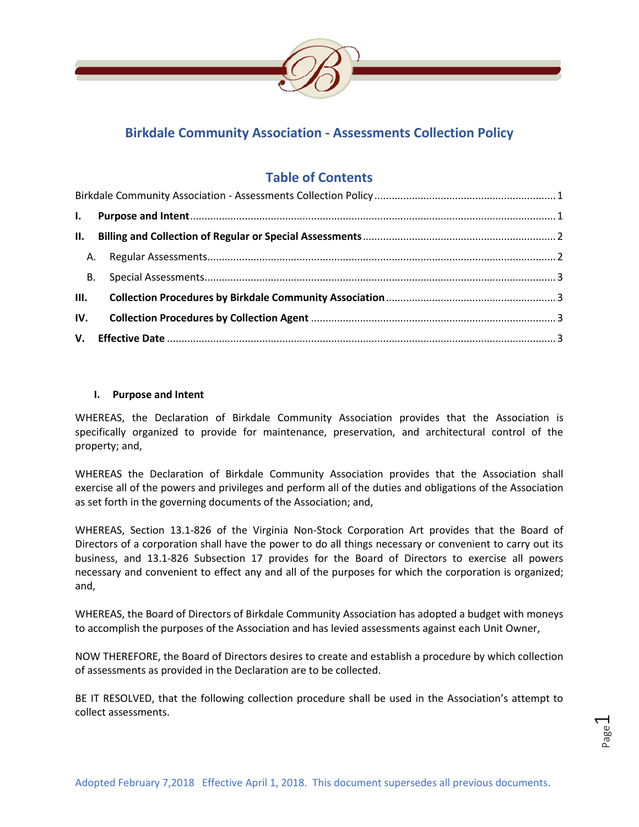

## <span id="page-0-0"></span>**Birkdale Community Association - Assessments Collection Policy**

# **Table of Contents**

### <span id="page-0-1"></span>**I. Purpose and Intent**

WHEREAS, the Declaration of Birkdale Community Association provides that the Association is specifically organized to provide for maintenance, preservation, and architectural control of the property; and,

WHEREAS the Declaration of Birkdale Community Association provides that the Association shall exercise all of the powers and privileges and perform all of the duties and obligations of the Association as set forth in the governing documents of the Association; and,

WHEREAS, Section 13.1-826 of the Virginia Non-Stock Corporation Art provides that the Board of Directors of a corporation shall have the power to do all things necessary or convenient to carry out its business, and 13.1-826 Subsection 17 provides for the Board of Directors to exercise all powers necessary and convenient to effect any and all of the purposes for which the corporation is organized; and,

WHEREAS, the Board of Directors of Birkdale Community Association has adopted a budget with moneys to accomplish the purposes of the Association and has levied assessments against each Unit Owner,

NOW THEREFORE, the Board of Directors desires to create and establish a procedure by which collection of assessments as provided in the Declaration are to be collected.

BE IT RESOLVED, that the following collection procedure shall be used in the Association's attempt to collect assessments.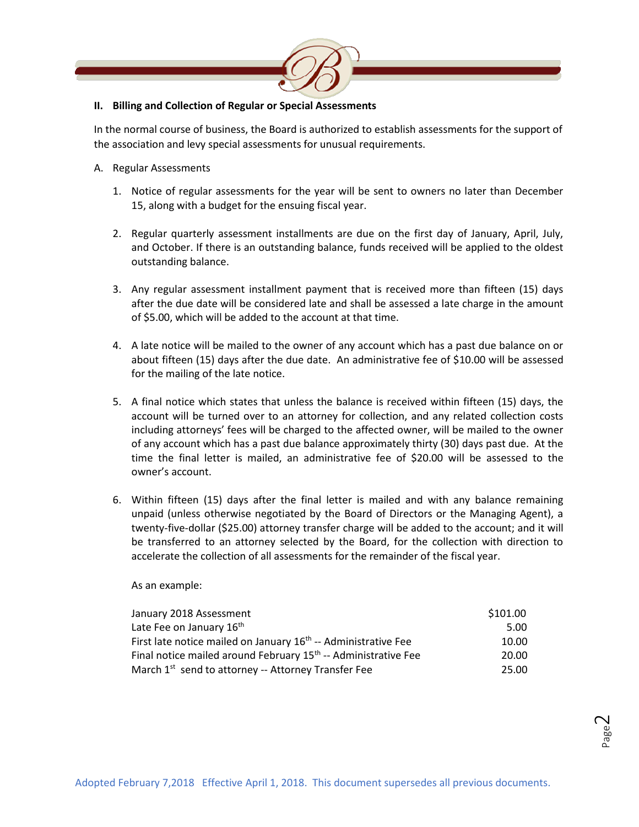

#### <span id="page-1-0"></span>**II. Billing and Collection of Regular or Special Assessments**

In the normal course of business, the Board is authorized to establish assessments for the support of the association and levy special assessments for unusual requirements.

- <span id="page-1-1"></span>A. Regular Assessments
	- 1. Notice of regular assessments for the year will be sent to owners no later than December 15, along with a budget for the ensuing fiscal year.
	- 2. Regular quarterly assessment installments are due on the first day of January, April, July, and October. If there is an outstanding balance, funds received will be applied to the oldest outstanding balance.
	- 3. Any regular assessment installment payment that is received more than fifteen (15) days after the due date will be considered late and shall be assessed a late charge in the amount of \$5.00, which will be added to the account at that time.
	- 4. A late notice will be mailed to the owner of any account which has a past due balance on or about fifteen (15) days after the due date. An administrative fee of \$10.00 will be assessed for the mailing of the late notice.
	- 5. A final notice which states that unless the balance is received within fifteen (15) days, the account will be turned over to an attorney for collection, and any related collection costs including attorneys' fees will be charged to the affected owner, will be mailed to the owner of any account which has a past due balance approximately thirty (30) days past due. At the time the final letter is mailed, an administrative fee of \$20.00 will be assessed to the owner's account.
	- 6. Within fifteen (15) days after the final letter is mailed and with any balance remaining unpaid (unless otherwise negotiated by the Board of Directors or the Managing Agent), a twenty-five-dollar (\$25.00) attorney transfer charge will be added to the account; and it will be transferred to an attorney selected by the Board, for the collection with direction to accelerate the collection of all assessments for the remainder of the fiscal year.

As an example:

<span id="page-1-2"></span>

| January 2018 Assessment                                                    | \$101.00 |
|----------------------------------------------------------------------------|----------|
| Late Fee on January 16th                                                   | 5.00     |
| First late notice mailed on January 16 <sup>th</sup> -- Administrative Fee | 10.00    |
| Final notice mailed around February 15 <sup>th</sup> -- Administrative Fee | 20.00    |
| March 1 <sup>st</sup> send to attorney -- Attorney Transfer Fee            | 25.00    |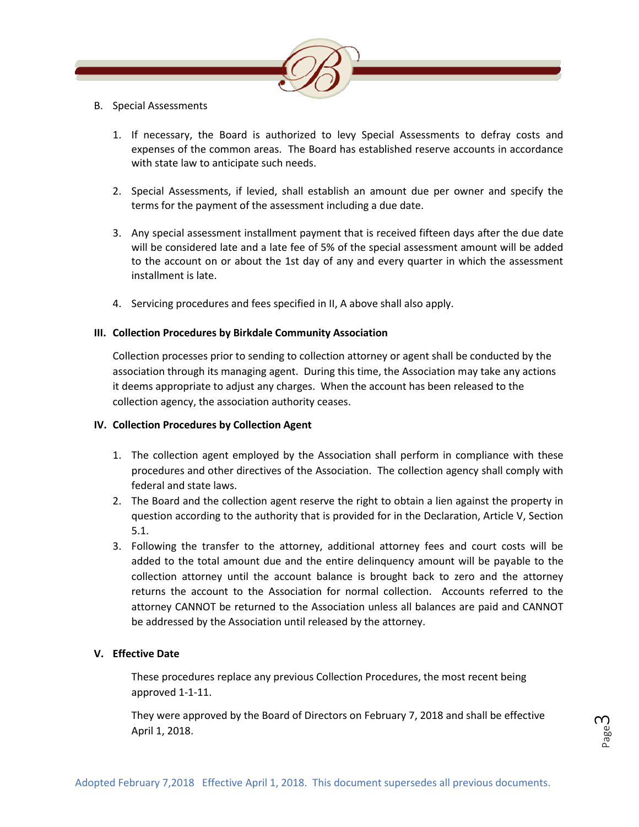

- B. Special Assessments
	- 1. If necessary, the Board is authorized to levy Special Assessments to defray costs and expenses of the common areas. The Board has established reserve accounts in accordance with state law to anticipate such needs.
	- 2. Special Assessments, if levied, shall establish an amount due per owner and specify the terms for the payment of the assessment including a due date.
	- 3. Any special assessment installment payment that is received fifteen days after the due date will be considered late and a late fee of 5% of the special assessment amount will be added to the account on or about the 1st day of any and every quarter in which the assessment installment is late.
	- 4. Servicing procedures and fees specified in II, A above shall also apply.

### <span id="page-2-0"></span>**III. Collection Procedures by Birkdale Community Association**

Collection processes prior to sending to collection attorney or agent shall be conducted by the association through its managing agent. During this time, the Association may take any actions it deems appropriate to adjust any charges. When the account has been released to the collection agency, the association authority ceases.

### <span id="page-2-1"></span>**IV. Collection Procedures by Collection Agent**

- 1. The collection agent employed by the Association shall perform in compliance with these procedures and other directives of the Association. The collection agency shall comply with federal and state laws.
- 2. The Board and the collection agent reserve the right to obtain a lien against the property in question according to the authority that is provided for in the Declaration, Article V, Section 5.1.
- 3. Following the transfer to the attorney, additional attorney fees and court costs will be added to the total amount due and the entire delinquency amount will be payable to the collection attorney until the account balance is brought back to zero and the attorney returns the account to the Association for normal collection. Accounts referred to the attorney CANNOT be returned to the Association unless all balances are paid and CANNOT be addressed by the Association until released by the attorney.

## <span id="page-2-2"></span>**V. Effective Date**

These procedures replace any previous Collection Procedures, the most recent being approved 1-1-11.

They were approved by the Board of Directors on February 7, 2018 and shall be effective April 1, 2018.